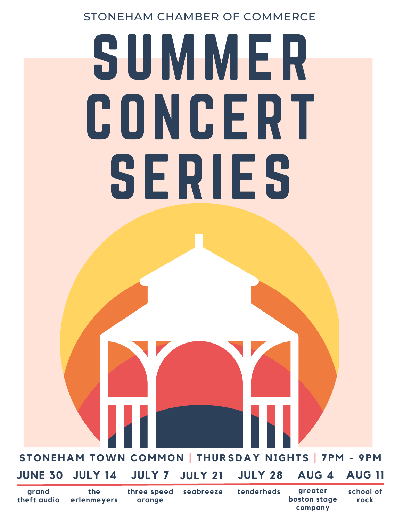### STONEHAM CHAMBER OF COMMERCE

# SUMMER CONCERT SERIES

STONEHAM TOWN COMMON | THURSDAY NIGHTS | 7PM - 9PM

#### **JUNE 30 JULY 14 JULY 21 JULY 28 AUG 4 AUG 11 JULY 7**

**grand theft audio** **three speed orange**

**seabreeze tenderheds greater boston stage company**

**school of rock**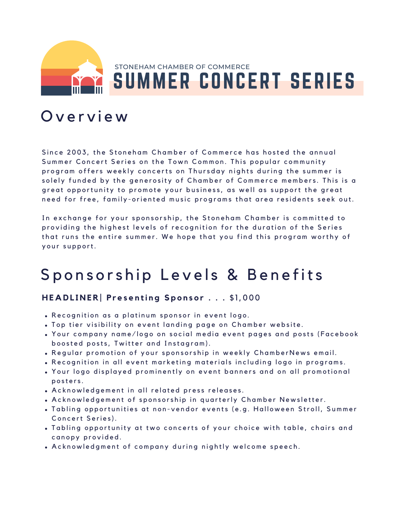

## SUMMER CONCERT SERIES STONEHAM CHAMBER OF COMMERCE

## O v e r v i e w

Since 2003, the Stoneham Chamber of Commerce has hosted the annual Summer Concert Series on the Town Common. This popular community program offers weekly concerts on Thursday nights during the summer is solely funded by the generosity of Chamber of Commerce members. This is a great opportunity to promote your business, as well as support the great need for free, family-oriented music programs that area residents seek out.

In exchange for your sponsorship, the Stoneham Chamber is committed to providing the highest levels of recognition for the duration of the Series that runs the entire summer. We hope that you find this program worthy of your support.

## Sponsorship Levels & Benefits

#### HEADLINER Presenting Sponsor . . . \$1,000

- Recognition as a platinum sponsor in event logo.
- . Top tier visibility on event landing page on Chamber website.
- Your company name/logo on social media event pages and posts (Facebook boosted posts, Twitter and Instagram).
- . Regular promotion of your sponsorship in weekly ChamberNews email.
- Recognition in all event marketing materials including logo in programs.
- . Your logo displayed prominently on event banners and on all promotional posters.
- . Acknowledgement in all related press releases.
- . Acknowledgement of sponsorship in quarterly Chamber Newsletter.
- . Tabling opportunities at non-vendor events (e.g. Halloween Stroll, Summer Concert Series).
- . Tabling opportunity at two concerts of your choice with table, chairs and canopy provided.
- Acknowledgment of company during nightly welcome speech.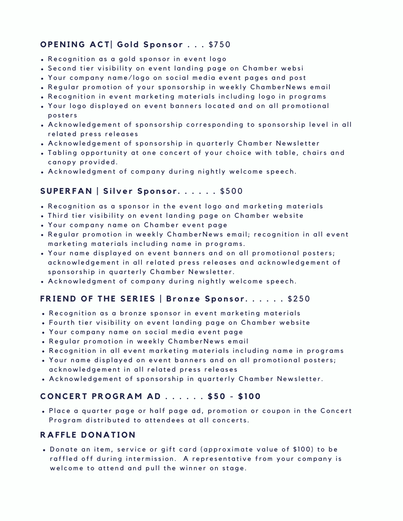#### **O P E N I N G A CT | G o l d S p o n s o r . . .** \$ 7 5 0

- . Recognition as a gold sponsor in event logo
- . Second tier visibility on event landing page on Chamber websi
- Your company name/logo on social media event pages and post
- . Regular promotion of your sponsorship in weekly ChamberNews email
- Recognition in event marketing materials including logo in programs
- . Your logo displayed on event banners located and on all promotional posters
- . A cknowledgement of sponsorship corresponding to sponsorship level in all related press releases
- . A cknowledgement of sponsorship in quarterly Chamber Newsletter
- . Tabling opportunity at one concert of your choice with table, chairs and canopy provided.
- . Acknowledgment of company during nightly welcome speech.

#### SUPERFAN | Silver Sponsor...... \$500

- Recognition as a sponsor in the event logo and marketing materials
- . Third tier visibility on event landing page on Chamber website
- Your company name on Chamber event page
- . Regular promotion in weekly ChamberNews email; recognition in all event marketing materials including name in programs.
- . Your name displayed on event banners and on all promotional posters; acknowledgement in all related press releases and acknowledgement of sponsorship in quarterly Chamber Newsletter.
- Acknowledgment of company during nightly welcome speech.

#### FRIEND OF THE SERIES | Bronze Sponsor......\$250

- . Recognition as a bronze sponsor in event marketing materials
- Fourth tier visibility on event landing page on Chamber website
- Your company name on social media event page
- . Regular promotion in weekly ChamberNews email
- . Recognition in all event marketing materials including name in programs
- . Your name displayed on event banners and on all promotional posters; acknowledgement in all related press releases
- . Acknowledgement of sponsorship in quarterly Chamber Newsletter.

#### CONCERT PROGRAM AD . . . . . . \$50 - \$100

. Place a quarter page or half page ad, promotion or coupon in the Concert Program distributed to attendees at all concerts.

#### **R A F F L E D O N A T I O N**

Donate an item, service or gift card (approximate value of \$100) to be raffled off during intermission. A representative from your company is welcome to attend and pull the winner on stage.